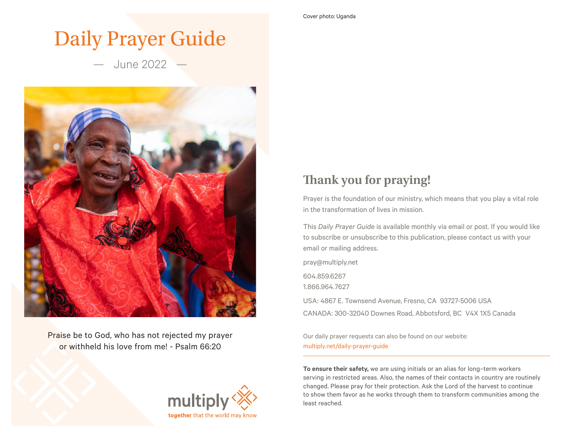# Daily Prayer Guide

— June 2022 —



Praise be to God, who has not rejected my prayer or withheld his love from me! - Psalm 66:20



# **Thank you for praying!**

Prayer is the foundation of our ministry, which means that you play a vital role in the transformation of lives in mission.

This *Daily Prayer Guide* is available monthly via email or post. If you would like to subscribe or unsubscribe to this publication, please contact us with your email or mailing address.

pray@multiply.net

604.859.6267

1.866.964.7627

USA: 4867 E. Townsend Avenue, Fresno, CA 93727-5006 USA CANADA: 300-32040 Downes Road, Abbotsford, BC V4X 1X5 Canada

Our daily prayer requests can also be found on our website: multiply.net/daily-prayer-guide

**To ensure their safety,** we are using initials or an alias for long–term workers serving in restricted areas. Also, the names of their contacts in country are routinely changed. Please pray for their protection. Ask the Lord of the harvest to continue to show them favor as he works through them to transform communities among the least reached.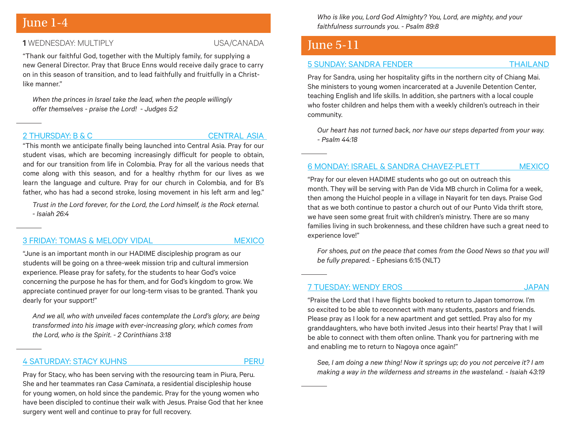### **1** WEDNESDAY: MULTIPLY USA/CANADA

"Thank our faithful God, together with the Multiply family, for supplying a new General Director. Pray that Bruce Enns would receive daily grace to carry on in this season of transition, and to lead faithfully and fruitfully in a Christlike manner."

*When the princes in Israel take the lead, when the people willingly offer themselves - praise the Lord! - Judges 5:2*

### 2 THURSDAY: B & C CENTRAL ASIA

"This month we anticipate finally being launched into Central Asia. Pray for our student visas, which are becoming increasingly difficult for people to obtain, and for our transition from life in Colombia. Pray for all the various needs that come along with this season, and for a healthy rhythm for our lives as we learn the language and culture. Pray for our church in Colombia, and for B's father, who has had a second stroke, losing movement in his left arm and leg."

*Trust in the Lord forever, for the Lord, the Lord himself, is the Rock eternal. - Isaiah 26:4*

### [3 FRIDAY: TOMAS & MELODY VIDAL](https://multiply.net/global-worker/tomas-and-melody-vidal-1) MEXICO MEXICO

"June is an important month in our HADIME discipleship program as our students will be going on a three-week mission trip and cultural immersion experience. Please pray for safety, for the students to hear God's voice concerning the purpose he has for them, and for God's kingdom to grow. We appreciate continued prayer for our long-term visas to be granted. Thank you dearly for your support!"

*And we all, who with unveiled faces contemplate the Lord's glory, are being transformed into his image with ever-increasing glory, which comes from the Lord, who is the Spirit. - 2 Corinthians 3:18*

### [4 SATURDAY: STACY KUHNS](https://multiply.net/global-worker/stacy-kuhns) PERU

Pray for Stacy, who has been serving with the resourcing team in Piura, Peru. She and her teammates ran *Casa Caminata*, a residential discipleship house for young women, on hold since the pandemic. Pray for the young women who have been discipled to continue their walk with Jesus. Praise God that her knee surgery went well and continue to pray for full recovery.

June 1-4 *Who is like you, Lord God Almighty? You, Lord, are mighty, and your faithfulness surrounds you. - Psalm 89:8*

## June 5-11

### [5 SUNDAY: SANDRA FENDER](https://multiply.net/global-worker/sandra-fender) THAILAND

Pray for Sandra, using her hospitality gifts in the northern city of Chiang Mai. She ministers to young women incarcerated at a Juvenile Detention Center, teaching English and life skills. In addition, she partners with a local couple who foster children and helps them with a weekly children's outreach in their community.

*Our heart has not turned back, nor have our steps departed from your way. - Psalm 44:18*

### [6 MONDAY: ISRAEL & SANDRA CHAVEZ-PLETT MEXICO](https://multiply.net/global-worker/sandra-plett)

"Pray for our eleven HADIME students who go out on outreach this month. They will be serving with Pan de Vida MB church in Colima for a week, then among the Huichol people in a village in Nayarit for ten days. Praise God that as we both continue to pastor a church out of our Punto Vida thrift store, we have seen some great fruit with children's ministry. There are so many families living in such brokenness, and these children have such a great need to experience love!"

*For shoes, put on the peace that comes from the Good News so that you will be fully prepared.* - Ephesians 6:15 (NLT)

### [7 TUESDAY: WENDY EROS](https://multiply.net/global-worker/wendy-eros) JAPAN

"Praise the Lord that I have flights booked to return to Japan tomorrow. I'm so excited to be able to reconnect with many students, pastors and friends. Please pray as I look for a new apartment and get settled. Pray also for my granddaughters, who have both invited Jesus into their hearts! Pray that I will be able to connect with them often online. Thank you for partnering with me and enabling me to return to Nagoya once again!"

*See, I am doing a new thing! Now it springs up; do you not perceive it? I am making a way in the wilderness and streams in the wasteland. - Isaiah 43:19*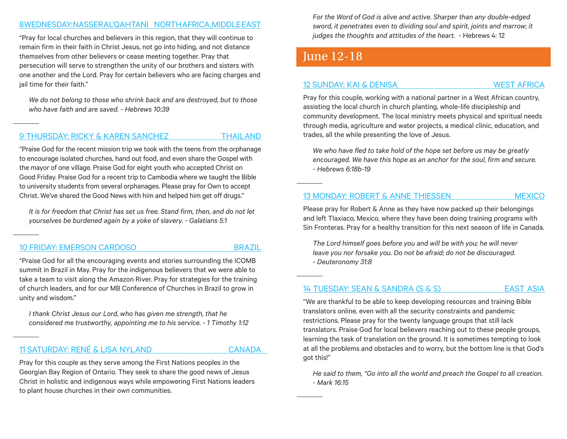### [8 WEDNESDAY: NASSER AL'QAHTANI NORTH AFRICA, MIDDLE EAST](https://multiply.net/global-worker/nasser-alqahtani)

"Pray for local churches and believers in this region, that they will continue to remain firm in their faith in Christ Jesus, not go into hiding, and not distance themselves from other believers or cease meeting together. Pray that persecution will serve to strengthen the unity of our brothers and sisters with one another and the Lord. Pray for certain believers who are facing charges and iail time for their faith."

*We do not belong to those who shrink back and are destroyed, but to those who have faith and are saved. - Hebrews 10:39*

### [9 THURSDAY: RICKY & KAREN SANCHEZ THAILAND](https://multiply.net/global-worker/ricky-karen-sanchez)

"Praise God for the recent mission trip we took with the teens from the orphanage to encourage isolated churches, hand out food, and even share the Gospel with the mayor of one village. Praise God for eight youth who accepted Christ on Good Friday. Praise God for a recent trip to Cambodia where we taught the Bible to university students from several orphanages. Please pray for Own to accept Christ. We've shared the Good News with him and helped him get off drugs."

*It is for freedom that Christ has set us free. Stand firm, then, and do not let yourselves be burdened again by a yoke of slavery. - Galatians 5:1*

### [10 FRIDAY: EMERSON CARDOSO BRAZIL](https://multiply.net/global-worker/emerson-cardoso-1)

"Praise God for all the encouraging events and stories surrounding the ICOMB summit in Brazil in May. Pray for the indigenous believers that we were able to take a team to visit along the Amazon River. Pray for strategies for the training of church leaders, and for our MB Conference of Churches in Brazil to grow in unity and wisdom."

*I thank Christ Jesus our Lord, who has given me strength, that he considered me trustworthy, appointing me to his service. - 1 Timothy 1:12*

### [11 SATURDAY: RENÉ & LISA NYLAND](https://multiply.net/global-worker/rene-and-lisa) CANADA

Pray for this couple as they serve among the First Nations peoples in the Georgian Bay Region of Ontario. They seek to share the good news of Jesus Christ in holistic and indigenous ways while empowering First Nations leaders to plant house churches in their own communities.

*For the Word of God is alive and active. Sharper than any double-edged sword, it penetrates even to dividing soul and spirit, joints and marrow; it judges the thoughts and attitudes of the heart.* - Hebrews 4: 12

# June 12-18

### [12 SUNDAY: KAI & DENISA WEST AFRICA](https://multiply.net/global-worker/K-and-d)

Pray for this couple, working with a national partner in a West African country, assisting the local church in church planting, whole-life discipleship and community development. The local ministry meets physical and spiritual needs through media, agriculture and water projects, a medical clinic, education, and trades, all the while presenting the love of Jesus.

*We who have fled to take hold of the hope set before us may be greatly encouraged. We have this hope as an anchor for the soul, firm and secure. - Hebrews 6:18b-19*

### [13 MONDAY: ROBERT & ANNE THIESSEN](https://multiply.net/global-worker/robert-anne-thiessen) MEXICO

Please pray for Robert & Anne as they have now packed up their belongings and left Tlaxiaco, Mexico, where they have been doing training programs with Sin Fronteras. Pray for a healthy transition for this next season of life in Canada.

*The Lord himself goes before you and will be with you; he will never leave you nor forsake you. Do not be afraid; do not be discouraged. - Deuteronomy 31:8*

### [14 TUESDAY: SEAN & SANDRA \(S & S\) EAST ASIA](https://multiply.net/global-worker/s-and-s-3)

"We are thankful to be able to keep developing resources and training Bible translators online, even with all the security constraints and pandemic restrictions. Please pray for the twenty language groups that still lack translators. Praise God for local believers reaching out to these people groups, learning the task of translation on the ground. It is sometimes tempting to look at all the problems and obstacles and to worry, but the bottom line is that God's got this!"

*He said to them, "Go into all the world and preach the Gospel to all creation. - Mark 16:15*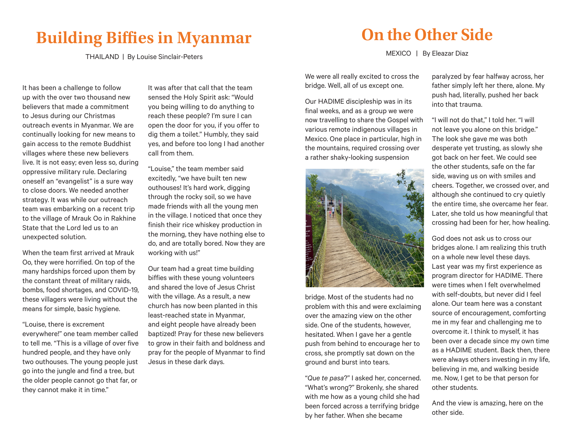# **Building Biffies in Myanmar**

THAILAND | By Louise Sinclair-Peters

It has been a challenge to follow up with the over two thousand new believers that made a commitment to Jesus during our Christmas outreach events in Myanmar. We are continually looking for new means to gain access to the remote Buddhist villages where these new believers live. It is not easy; even less so, during oppressive military rule. Declaring oneself an "evangelist" is a sure way to close doors. We needed another strategy. It was while our outreach team was embarking on a recent trip to the village of Mrauk Oo in Rakhine State that the Lord led us to an unexpected solution.

When the team first arrived at Mrauk Oo, they were horrified. On top of the many hardships forced upon them by the constant threat of military raids, bombs, food shortages, and COVID-19, these villagers were living without the means for simple, basic hygiene.

"Louise, there is excrement everywhere!" one team member called to tell me. "This is a village of over five hundred people, and they have only two outhouses. The young people just go into the jungle and find a tree, but the older people cannot go that far, or they cannot make it in time."

It was after that call that the team sensed the Holy Spirit ask: "Would you being willing to do anything to reach these people? I'm sure I can open the door for you, if you offer to dig them a toilet." Humbly, they said yes, and before too long I had another call from them.

"Louise," the team member said excitedly, "we have built ten new outhouses! It's hard work, digging through the rocky soil, so we have made friends with all the young men in the village. I noticed that once they finish their rice whiskey production in the morning, they have nothing else to do, and are totally bored. Now they are working with us!"

Our team had a great time building biffies with these young volunteers and shared the love of Jesus Christ with the village. As a result, a new church has now been planted in this least-reached state in Myanmar, and eight people have already been baptized! Pray for these new believers to grow in their faith and boldness and pray for the people of Myanmar to find Jesus in these dark days.

# **On the Other Side**

MEXICO | By Eleazar Diaz

We were all really excited to cross the bridge. Well, all of us except one.

Our HADIME discipleship was in its final weeks, and as a group we were now travelling to share the Gospel with various remote indigenous villages in Mexico. One place in particular, high in the mountains, required crossing over a rather shaky-looking suspension



bridge. Most of the students had no problem with this and were exclaiming over the amazing view on the other side. One of the students, however, hesitated. When I gave her a gentle push from behind to encourage her to cross, she promptly sat down on the ground and burst into tears.

"*Que te pasa*?" I asked her, concerned. "What's wrong?" Brokenly, she shared with me how as a young child she had been forced across a terrifying bridge by her father. When she became

paralyzed by fear halfway across, her father simply left her there, alone. My push had, literally, pushed her back into that trauma.

"I will not do that," I told her. "I will not leave you alone on this bridge." The look she gave me was both desperate yet trusting, as slowly she got back on her feet. We could see the other students, safe on the far side, waving us on with smiles and cheers. Together, we crossed over, and although she continued to cry quietly the entire time, she overcame her fear. Later, she told us how meaningful that crossing had been for her, how healing.

God does not ask us to cross our bridges alone. I am realizing this truth on a whole new level these days. Last year was my first experience as program director for HADIME. There were times when I felt overwhelmed with self-doubts, but never did I feel alone. Our team here was a constant source of encouragement, comforting me in my fear and challenging me to overcome it. I think to myself, it has been over a decade since my own time as a HADIME student. Back then, there were always others investing in my life, believing in me, and walking beside me. Now, I get to be that person for other students.

And the view is amazing, here on the other side.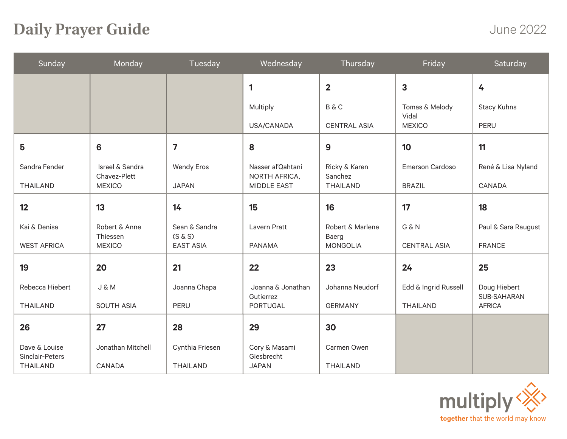# **Daily Prayer Guide**

June 2022

| Sunday                           | Monday                                     | Tuesday                  | Wednesday                          | Thursday                  | Friday                  | Saturday                    |
|----------------------------------|--------------------------------------------|--------------------------|------------------------------------|---------------------------|-------------------------|-----------------------------|
|                                  |                                            |                          | $\mathbf{1}$                       | $\overline{2}$            | 3                       | 4                           |
|                                  |                                            |                          | Multiply                           | <b>B&amp;C</b>            | Tomas & Melody<br>Vidal | Stacy Kuhns                 |
|                                  |                                            |                          | USA/CANADA                         | <b>CENTRAL ASIA</b>       | <b>MEXICO</b>           | PERU                        |
| 5                                | 6                                          | $\overline{\mathbf{z}}$  | 8                                  | 9                         | 10                      | 11                          |
| Sandra Fender                    | <b>Israel &amp; Sandra</b><br>Chavez-Plett | <b>Wendy Eros</b>        | Nasser al'Qahtani<br>NORTH AFRICA, | Ricky & Karen<br>Sanchez  | <b>Emerson Cardoso</b>  | René & Lisa Nyland          |
| <b>THAILAND</b>                  | <b>MEXICO</b>                              | <b>JAPAN</b>             | <b>MIDDLE EAST</b>                 | <b>THAILAND</b>           | <b>BRAZIL</b>           | CANADA                      |
| 12                               | 13                                         | 14                       | 15                                 | 16                        | 17                      | 18                          |
| Kai & Denisa                     | Robert & Anne<br>Thiessen                  | Sean & Sandra<br>(S & S) | Lavern Pratt                       | Robert & Marlene<br>Baerg | G & N                   | Paul & Sara Raugust         |
| <b>WEST AFRICA</b>               | <b>MEXICO</b>                              | <b>EAST ASIA</b>         | <b>PANAMA</b>                      | <b>MONGOLIA</b>           | <b>CENTRAL ASIA</b>     | <b>FRANCE</b>               |
| 19                               | 20                                         | 21                       | 22                                 | 23                        | 24                      | 25                          |
| Rebecca Hiebert                  | J & M                                      | Joanna Chapa             | Joanna & Jonathan<br>Gutierrez     | Johanna Neudorf           | Edd & Ingrid Russell    | Doug Hiebert<br>SUB-SAHARAN |
| <b>THAILAND</b>                  | <b>SOUTH ASIA</b>                          | PERU                     | <b>PORTUGAL</b>                    | <b>GERMANY</b>            | <b>THAILAND</b>         | <b>AFRICA</b>               |
| 26                               | 27                                         | 28                       | 29                                 | 30                        |                         |                             |
| Dave & Louise<br>Sinclair-Peters | Jonathan Mitchell                          | Cynthia Friesen          | Cory & Masami<br>Giesbrecht        | Carmen Owen               |                         |                             |
| <b>THAILAND</b>                  | CANADA                                     | <b>THAILAND</b>          | <b>JAPAN</b>                       | <b>THAILAND</b>           |                         |                             |

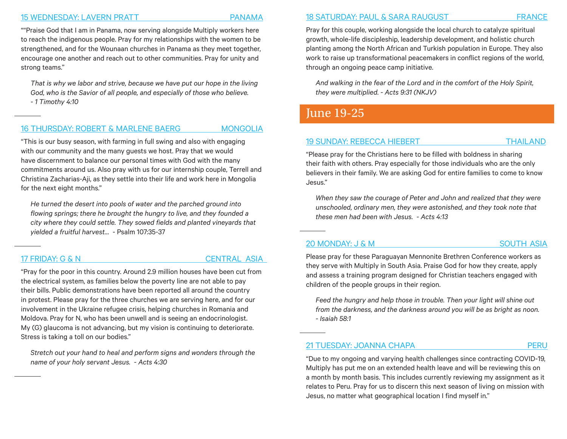### [15 WEDNESDAY: LAVERN PRATT PANAMA](https://multiply.net/global-worker/lavern-pratt)

""Praise God that I am in Panama, now serving alongside Multiply workers here to reach the indigenous people. Pray for my relationships with the women to be strengthened, and for the Wounaan churches in Panama as they meet together, encourage one another and reach out to other communities. Pray for unity and strong teams."

*That is why we labor and strive, because we have put our hope in the living God, who is the Savior of all people, and especially of those who believe. - 1 Timothy 4:10*

### [16 THURSDAY: ROBERT & MARLENE BAERG MONGOLIA](https://multiply.net/global-worker/robert-marlene-baerg)

"This is our busy season, with farming in full swing and also with engaging with our community and the many guests we host. Pray that we would have discernment to balance our personal times with God with the many commitments around us. Also pray with us for our internship couple, Terrell and Christina Zacharias-Aji, as they settle into their life and work here in Mongolia for the next eight months."

*He turned the desert into pools of water and the parched ground into flowing springs; there he brought the hungry to live, and they founded a city where they could settle. They sowed fields and planted vineyards that yielded a fruitful harvest…* - Psalm 107:35-37

### 17 FRIDAY: G & N CENTRAL ASIA

"Pray for the poor in this country. Around 2.9 million houses have been cut from the electrical system, as families below the poverty line are not able to pay their bills. Public demonstrations have been reported all around the country in protest. Please pray for the three churches we are serving here, and for our involvement in the Ukraine refugee crisis, helping churches in Romania and Moldova. Pray for N, who has been unwell and is seeing an endocrinologist. My (G) glaucoma is not advancing, but my vision is continuing to deteriorate. Stress is taking a toll on our bodies."

*Stretch out your hand to heal and perform signs and wonders through the name of your holy servant Jesus. - Acts 4:30*

### [18 SATURDAY: PAUL & SARA RAUGUST](https://multiply.net/global-worker/p-s) FRANCE

Pray for this couple, working alongside the local church to catalyze spiritual growth, whole-life discipleship, leadership development, and holistic church planting among the North African and Turkish population in Europe. They also work to raise up transformational peacemakers in conflict regions of the world, through an ongoing peace camp initiative.

*And walking in the fear of the Lord and in the comfort of the Holy Spirit, they were multiplied. - Acts 9:31 (NKJV)*

## June 19-25

### [19 SUNDAY: REBECCA HIEBERT THAILAND](https://multiply.net/global-worker/rebecca-hiebert)

"Please pray for the Christians here to be filled with boldness in sharing their faith with others. Pray especially for those individuals who are the only believers in their family. We are asking God for entire families to come to know Jesus."

*When they saw the courage of Peter and John and realized that they were unschooled, ordinary men, they were astonished, and they took note that these men had been with Jesus. - Acts 4:13*

### [20 MONDAY: J & M SOUTH ASIA](https://multiply.net/global-worker/j-and-m)

Please pray for these Paraguayan Mennonite Brethren Conference workers as they serve with Multiply in South Asia. Praise God for how they create, apply and assess a training program designed for Christian teachers engaged with children of the people groups in their region.

*Feed the hungry and help those in trouble. Then your light will shine out from the darkness, and the darkness around you will be as bright as noon. - Isaiah 58:1*

[21 TUESDAY: JOANNA CHAPA PERU](https://multiply.net/global-worker/joanna-chapa)

"Due to my ongoing and varying health challenges since contracting COVID-19, Multiply has put me on an extended health leave and will be reviewing this on a month by month basis. This includes currently reviewing my assignment as it relates to Peru. Pray for us to discern this next season of living on mission with Jesus, no matter what geographical location I find myself in."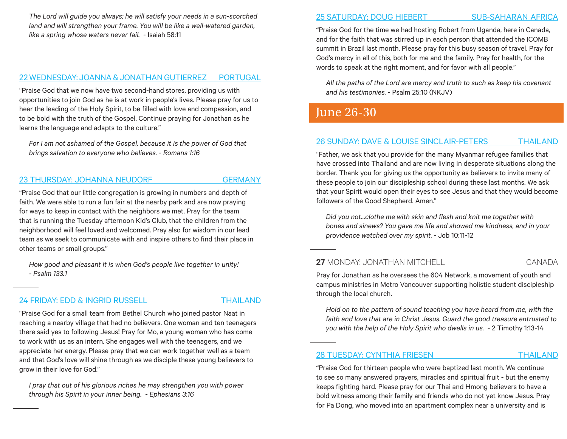*The Lord will guide you always; he will satisfy your needs in a sun-scorched land and will strengthen your frame. You will be like a well-watered garden, like a spring whose waters never fail.* - Isaiah 58:11

### [22 WEDNESDAY: JOANNA & JONATHAN GUTIERREZ PORTUGAL](https://multiply.net/global-worker/joanna-pharazyn)

"Praise God that we now have two second-hand stores, providing us with opportunities to join God as he is at work in people's lives. Please pray for us to hear the leading of the Holy Spirit, to be filled with love and compassion, and to be bold with the truth of the Gospel. Continue praying for Jonathan as he learns the language and adapts to the culture."

*For I am not ashamed of the Gospel, because it is the power of God that brings salvation to everyone who believes. - Romans 1:16*

### [23 THURSDAY: JOHANNA NEUDORF](https://multiply.net/global-worker/johanna-neudorf-1) GERMANY

"Praise God that our little congregation is growing in numbers and depth of faith. We were able to run a fun fair at the nearby park and are now praying for ways to keep in contact with the neighbors we met. Pray for the team that is running the Tuesday afternoon Kid's Club, that the children from the neighborhood will feel loved and welcomed. Pray also for wisdom in our lead team as we seek to communicate with and inspire others to find their place in other teams or small groups."

*How good and pleasant it is when God's people live together in unity! - Psalm 133:1*

### [24 FRIDAY: EDD & INGRID RUSSELL](https://multiply.net/global-worker/edd-ingrid-russell) THAILAND

"Praise God for a small team from Bethel Church who joined pastor Naat in reaching a nearby village that had no believers. One woman and ten teenagers there said yes to following Jesus! Pray for Mo, a young woman who has come to work with us as an intern. She engages well with the teenagers, and we appreciate her energy. Please pray that we can work together well as a team and that God's love will shine through as we disciple these young believers to grow in their love for God."

*I pray that out of his glorious riches he may strengthen you with power through his Spirit in your inner being. - Ephesians 3:16*

### [25 SATURDAY: DOUG HIEBERT SUB-SAHARAN AFRICA](https://multiply.net/global-worker/doug-deanna-hiebert)

"Praise God for the time we had hosting Robert from Uganda, here in Canada, and for the faith that was stirred up in each person that attended the ICOMB summit in Brazil last month. Please pray for this busy season of travel. Pray for God's mercy in all of this, both for me and the family. Pray for health, for the words to speak at the right moment, and for favor with all people."

*All the paths of the Lord are mercy and truth to such as keep his covenant and his testimonies.* - Psalm 25:10 (NKJV)

## June 26-30

### [26 SUNDAY: DAVE & LOUISE SINCLAIR-PETERS THAILAND](https://multiply.net/global-worker/dave-louise-sinclair-peters)

"Father, we ask that you provide for the many Myanmar refugee families that have crossed into Thailand and are now living in desperate situations along the border. Thank you for giving us the opportunity as believers to invite many of these people to join our discipleship school during these last months. We ask that your Spirit would open their eyes to see Jesus and that they would become followers of the Good Shepherd. Amen."

*Did you not…clothe me with skin and flesh and knit me together with bones and sinews? You gave me life and showed me kindness, and in your providence watched over my spirit.* - Job 10:11-12

**27** MONDAY: JONATHAN MITCHELL CANADA

Pray for Jonathan as he oversees the 604 Network, a movement of youth and campus ministries in Metro Vancouver supporting holistic student discipleship through the local church.

*Hold on to the pattern of sound teaching you have heard from me, with the faith and love that are in Christ Jesus. Guard the good treasure entrusted to you with the help of the Holy Spirit who dwells in us.* - 2 Timothy 1:13-14

[28 TUESDAY: CYNTHIA FRIESEN](https://multiply.net/global-worker/cynthia-friesen) THAILAND

"Praise God for thirteen people who were baptized last month. We continue to see so many answered prayers, miracles and spiritual fruit - but the enemy keeps fighting hard. Please pray for our Thai and Hmong believers to have a bold witness among their family and friends who do not yet know Jesus. Pray for Pa Dong, who moved into an apartment complex near a university and is